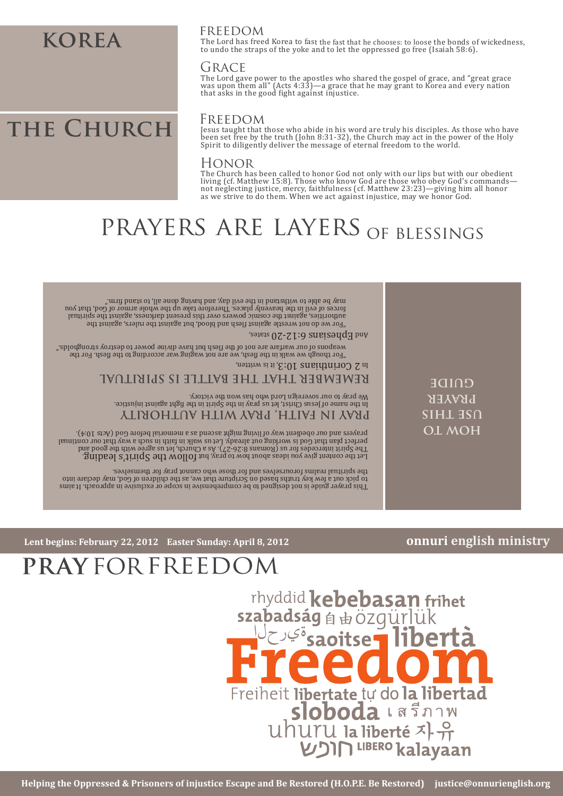### **korea**

#### freedom

The Lord has freed Korea to fast the fast that he chooses: to loose the bonds of wickedness, to undo the straps of the yoke and to let the oppressed go free (Isaiah 58:6).

#### **GRACE**

The Lord gave power to the apostles who shared the gospel of grace, and "great grace was upon them all" (Acts 4:33)—a grace that he may grant to Korea and every nation that asks in the good �ight against injustice.

# THE CHURCH FREEDOM

Jesus taught that those who abide in his word are truly his disciples. As those who have been set free by the truth (John 8:31-32), the Church may act in the power of the Holy Spirit to diligently deliver the message of eternal freedom to the world.

#### Honor

The Church has been called to honor God not only with our lips but with our obedient<br>living (cf. Matthew 15:8). Those who know God are those who obey God's commands—<br>not neglecting justice, mercy, faithfulness (cf. Matthew as we strive to do them. When we act against injustice, may we honor God.

# prayers are layers of blessings

| ".mrif baste do withstand in the evil day, and having done all, to stand firm."<br>forces of evil in the heavenly places. Therefore take up the whole armor of God, that you<br>laufriqis biti tashiya aslamic powers over this present darkness, against the spiritual<br>"For we do not wrestle against flesh and blood, but against the rulers, against the<br>and Ephesians 6:12-20 states,<br>"For though we walk in the flesh, we are not waging war according to the flesh. For the<br>In 2 Corinthians 10:3, it is written,<br>REMEMBER THAT THE BATTLE IS SPIRITIAL<br><b>COIDE</b><br>We pray to our sovereign Lord who has won the victory.<br>PRAYER<br>ln the name of Jesus Christ, let us pray in the Spirit in the fight against injustice.<br>PRAY IN FAITH, PRAY WITH AUTHORITY<br><b>SIHL 3SN</b><br>OL MOH<br>prayers and our obedient way of living might ascend as a memorial before God (Acts 10:4).<br>The Spirit intercedes for us (Ronnans 8:26-27). As a Church, let us agree with the good and<br>Let the content give you ideas about hood yeay, but fOllOW the Spirit's leading.<br>the spiritual realms forourselves and for those who cannot pray for themselves. |                                                                                                                                                                                                                                                                                                                                                                                                            |  |
|--------------------------------------------------------------------------------------------------------------------------------------------------------------------------------------------------------------------------------------------------------------------------------------------------------------------------------------------------------------------------------------------------------------------------------------------------------------------------------------------------------------------------------------------------------------------------------------------------------------------------------------------------------------------------------------------------------------------------------------------------------------------------------------------------------------------------------------------------------------------------------------------------------------------------------------------------------------------------------------------------------------------------------------------------------------------------------------------------------------------------------------------------------------------------------------------------|------------------------------------------------------------------------------------------------------------------------------------------------------------------------------------------------------------------------------------------------------------------------------------------------------------------------------------------------------------------------------------------------------------|--|
|                                                                                                                                                                                                                                                                                                                                                                                                                                                                                                                                                                                                                                                                                                                                                                                                                                                                                                                                                                                                                                                                                                                                                                                                  | weapons of our warfare are not of the flesh but have divine power to detroy stronghold."<br>perfect plan that God is working out already. Let us walk in faith in such a way that our continual<br>to pick out a few key truths based on Scripture that we, as the children of God, may declare into<br>This prayer guide is not designed to be comprehentative in scope or exclusive in approach. It aims |  |

#### **onnuri english ministry**

**Lent begins: February 22, 2012 Easter Sunday: April 8, 2012**

# **pray** for freedom